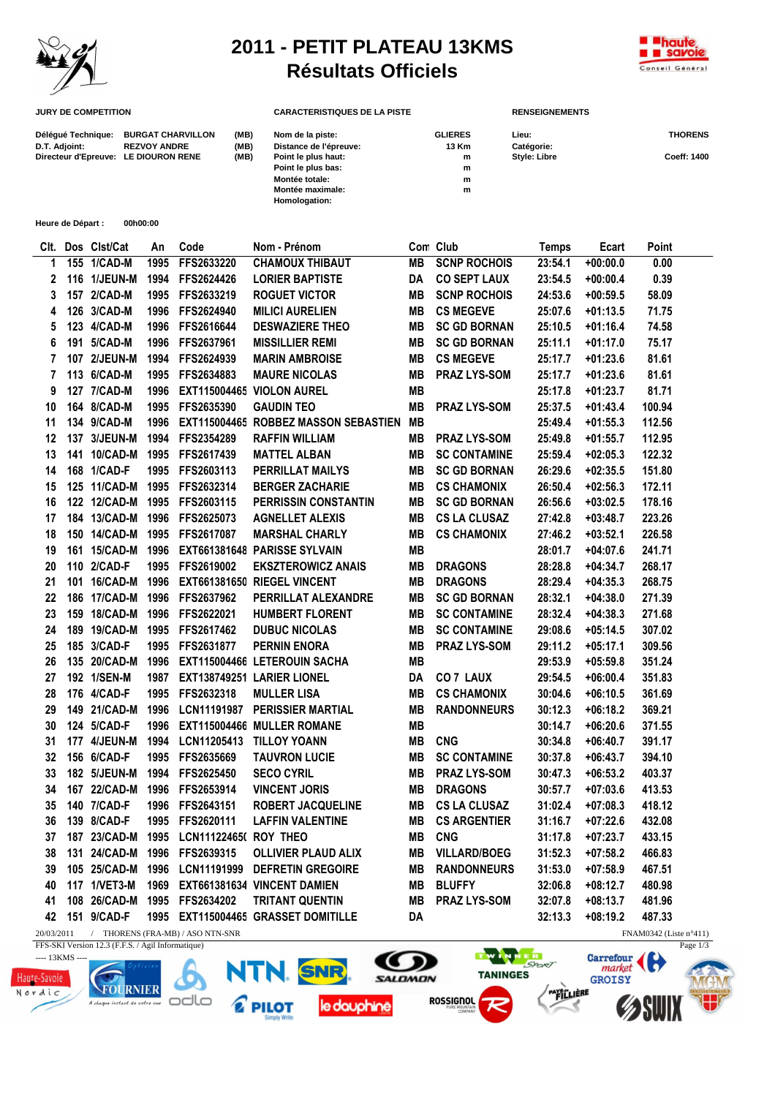

## **2011 - PETIT PLATEAU 13KMS Résultats Officiels**



| <b>JURY DE COMPETITION</b>           |                          |      | <b>CARACTERISTIQUES DE LA PISTE</b> |                | <b>RENSEIGNEMENTS</b> |                |  |
|--------------------------------------|--------------------------|------|-------------------------------------|----------------|-----------------------|----------------|--|
| Délégué Technique:                   | <b>BURGAT CHARVILLON</b> | (MB) | Nom de la piste:                    | <b>GLIERES</b> | Lieu:                 | <b>THORENS</b> |  |
| D.T. Adjoint:                        | <b>REZVOY ANDRE</b>      | (MB) | Distance de l'épreuve:              | 13 Km          | Catégorie:            |                |  |
| Directeur d'Epreuve: LE DIOURON RENE |                          | (MB) | Point le plus haut:                 | m              | <b>Style: Libre</b>   | Coeff: 1400    |  |
|                                      |                          |      | Point le plus bas:                  | m              |                       |                |  |
|                                      |                          |      | <b>Montée totale:</b>               | m              |                       |                |  |
|                                      |                          |      | Montée maximale:                    | m              |                       |                |  |
|                                      |                          |      | Homologation:                       |                |                       |                |  |

**Heure de Départ : 00h00:00**

| CIt.                                                                            |  | Dos Clst/Cat   | An   | Code                                    | Nom - Prénom                            |           | Con Club            | <b>Temps</b> | Ecart      | Point  |
|---------------------------------------------------------------------------------|--|----------------|------|-----------------------------------------|-----------------------------------------|-----------|---------------------|--------------|------------|--------|
| 1                                                                               |  | 155 1/CAD-M    | 1995 | FFS2633220                              | <b>CHAMOUX THIBAUT</b>                  | <b>MB</b> | <b>SCNP ROCHOIS</b> | 23:54.1      | $+00:00.0$ | 0.00   |
| 2                                                                               |  | 116 1/JEUN-M   | 1994 | FFS2624426                              | <b>LORIER BAPTISTE</b>                  | DA        | <b>CO SEPT LAUX</b> | 23:54.5      | $+00:00.4$ | 0.39   |
| 3                                                                               |  | 157 2/CAD-M    | 1995 | FFS2633219                              | <b>ROGUET VICTOR</b>                    | <b>MB</b> | <b>SCNP ROCHOIS</b> | 24:53.6      | $+00:59.5$ | 58.09  |
| 4                                                                               |  | 126 3/CAD-M    | 1996 | FFS2624940                              | <b>MILICI AURELIEN</b>                  | MВ        | <b>CS MEGEVE</b>    | 25:07.6      | $+01:13.5$ | 71.75  |
| 5                                                                               |  | 123 4/CAD-M    | 1996 | FFS2616644                              | <b>DESWAZIERE THEO</b>                  | MВ        | <b>SC GD BORNAN</b> | 25:10.5      | $+01:16.4$ | 74.58  |
| 6                                                                               |  | 191 5/CAD-M    | 1996 | FFS2637961                              | <b>MISSILLIER REMI</b>                  | MВ        | <b>SC GD BORNAN</b> | 25:11.1      | $+01:17.0$ | 75.17  |
| $\overline{7}$                                                                  |  | 107 2/JEUN-M   | 1994 | FFS2624939                              | <b>MARIN AMBROISE</b>                   | MВ        | <b>CS MEGEVE</b>    | 25:17.7      | $+01:23.6$ | 81.61  |
| 7                                                                               |  | 113 6/CAD-M    | 1995 | FFS2634883                              | <b>MAURE NICOLAS</b>                    | MВ        | <b>PRAZ LYS-SOM</b> | 25:17.7      | $+01:23.6$ | 81.61  |
| 9                                                                               |  | 127 7/CAD-M    | 1996 |                                         | EXT115004465 VIOLON AUREL               | <b>MB</b> |                     | 25:17.8      | $+01:23.7$ | 81.71  |
| 10                                                                              |  | 164 8/CAD-M    | 1995 | FFS2635390                              | <b>GAUDIN TEO</b>                       | MВ        | <b>PRAZ LYS-SOM</b> | 25:37.5      | $+01:43.4$ | 100.94 |
| 11                                                                              |  | 134 9/CAD-M    | 1996 |                                         | EXT115004465 ROBBEZ MASSON SEBASTIEN MB |           |                     | 25:49.4      | $+01:55.3$ | 112.56 |
| 12                                                                              |  | 137 3/JEUN-M   | 1994 | FFS2354289                              | <b>RAFFIN WILLIAM</b>                   | MВ        | PRAZ LYS-SOM        | 25:49.8      | $+01:55.7$ | 112.95 |
| 13                                                                              |  | 141 10/CAD-M   | 1995 | FFS2617439                              | <b>MATTEL ALBAN</b>                     | MВ        | <b>SC CONTAMINE</b> | 25:59.4      | $+02:05.3$ | 122.32 |
| 14                                                                              |  | 168 1/CAD-F    | 1995 | FFS2603113                              | PERRILLAT MAILYS                        | MВ        | <b>SC GD BORNAN</b> | 26:29.6      | $+02:35.5$ | 151.80 |
| 15                                                                              |  | 125 11/CAD-M   | 1995 | FFS2632314                              | <b>BERGER ZACHARIE</b>                  | <b>MB</b> | <b>CS CHAMONIX</b>  | 26:50.4      | $+02:56.3$ | 172.11 |
| 16                                                                              |  | 122 12/CAD-M   | 1995 | FFS2603115                              | PERRISSIN CONSTANTIN                    | MВ        | <b>SC GD BORNAN</b> | 26:56.6      | $+03:02.5$ | 178.16 |
| 17                                                                              |  | 184 13/CAD-M   | 1996 | FFS2625073                              | <b>AGNELLET ALEXIS</b>                  | <b>MB</b> | <b>CS LA CLUSAZ</b> | 27:42.8      | $+03:48.7$ | 223.26 |
| 18                                                                              |  | 150 14/CAD-M   | 1995 | FFS2617087                              | <b>MARSHAL CHARLY</b>                   | MВ        | <b>CS CHAMONIX</b>  | 27:46.2      | $+03:52.1$ | 226.58 |
| 19                                                                              |  | 161 15/CAD-M   | 1996 |                                         | EXT661381648 PARISSE SYLVAIN            | <b>MB</b> |                     | 28:01.7      | $+04:07.6$ | 241.71 |
| 20                                                                              |  | 110 2/CAD-F    | 1995 | FFS2619002                              | <b>EKSZTEROWICZ ANAIS</b>               | MВ        | <b>DRAGONS</b>      | 28:28.8      | $+04:34.7$ | 268.17 |
| 21                                                                              |  | 101 16/CAD-M   | 1996 |                                         | EXT661381650 RIEGEL VINCENT             | MВ        | <b>DRAGONS</b>      | 28:29.4      | $+04:35.3$ | 268.75 |
| 22                                                                              |  | 186 17/CAD-M   | 1996 | FFS2637962                              | PERRILLAT ALEXANDRE                     | MВ        | <b>SC GD BORNAN</b> | 28:32.1      | $+04:38.0$ | 271.39 |
| 23                                                                              |  | 159 18/CAD-M   | 1996 | FFS2622021                              | <b>HUMBERT FLORENT</b>                  | <b>MB</b> | <b>SC CONTAMINE</b> | 28:32.4      | $+04:38.3$ | 271.68 |
| 24                                                                              |  | 189 19/CAD-M   | 1995 | FFS2617462                              | <b>DUBUC NICOLAS</b>                    | <b>MB</b> | <b>SC CONTAMINE</b> | 29:08.6      | $+05:14.5$ | 307.02 |
| 25                                                                              |  | 185 3/CAD-F    | 1995 | FFS2631877                              | <b>PERNIN ENORA</b>                     | MВ        | <b>PRAZ LYS-SOM</b> | 29:11.2      | $+05:17.1$ | 309.56 |
| 26                                                                              |  | 135 20/CAD-M   | 1996 |                                         | EXT115004466 LETEROUIN SACHA            | <b>MB</b> |                     | 29:53.9      | $+05:59.8$ | 351.24 |
| 27                                                                              |  | 192 1/SEN-M    | 1987 |                                         | EXT138749251 LARIER LIONEL              | DA        | <b>CO 7 LAUX</b>    | 29:54.5      | $+06:00.4$ | 351.83 |
| 28                                                                              |  | 176 4/CAD-F    | 1995 | FFS2632318                              | <b>MULLER LISA</b>                      | MВ        | <b>CS CHAMONIX</b>  | 30:04.6      | $+06:10.5$ | 361.69 |
| 29                                                                              |  | 149 21/CAD-M   | 1996 |                                         | LCN11191987 PERISSIER MARTIAL           | <b>MB</b> | <b>RANDONNEURS</b>  | 30:12.3      | $+06:18.2$ | 369.21 |
| 30                                                                              |  | 124 5/CAD-F    | 1996 |                                         | EXT115004466 MULLER ROMANE              | MВ        |                     | 30:14.7      | $+06:20.6$ | 371.55 |
| 31                                                                              |  | 177 4/JEUN-M   | 1994 |                                         | LCN11205413 TILLOY YOANN                | MВ        | <b>CNG</b>          | 30:34.8      | $+06:40.7$ | 391.17 |
| 32                                                                              |  | 156 6/CAD-F    | 1995 | FFS2635669                              | <b>TAUVRON LUCIE</b>                    | MВ        | <b>SC CONTAMINE</b> | 30:37.8      | $+06:43.7$ | 394.10 |
| 33                                                                              |  | 182 5/JEUN-M   | 1994 | FFS2625450                              | <b>SECO CYRIL</b>                       | MВ        | <b>PRAZ LYS-SOM</b> | 30:47.3      | $+06:53.2$ | 403.37 |
| 34                                                                              |  | 167 22/CAD-M   | 1996 | FFS2653914                              | <b>VINCENT JORIS</b>                    | MВ        | <b>DRAGONS</b>      | 30:57.7      | $+07:03.6$ | 413.53 |
| 35                                                                              |  | 140 7/CAD-F    | 1996 | FFS2643151                              | <b>ROBERT JACQUELINE</b>                | <b>MB</b> | <b>CS LA CLUSAZ</b> | 31:02.4      | $+07:08.3$ | 418.12 |
| 36                                                                              |  | 139 8/CAD-F    | 1995 | FFS2620111                              | <b>LAFFIN VALENTINE</b>                 | <b>MB</b> | <b>CS ARGENTIER</b> | 31:16.7      | $+07:22.6$ | 432.08 |
| 37                                                                              |  |                |      | 187 23/CAD-M 1995 LCN11122465( ROY THEO |                                         | MВ        | <b>CNG</b>          | 31:17.8      | $+07:23.7$ | 433.15 |
| 38                                                                              |  | 131 24/CAD-M   | 1996 | FFS2639315                              | <b>OLLIVIER PLAUD ALIX</b>              | MВ        | <b>VILLARD/BOEG</b> | 31:52.3      | $+07:58.2$ | 466.83 |
| 39                                                                              |  | 105 25/CAD-M   | 1996 |                                         | LCN11191999 DEFRETIN GREGOIRE           | MВ        | <b>RANDONNEURS</b>  | 31:53.0      | $+07:58.9$ | 467.51 |
| 40                                                                              |  | 117 1/VET3-M   | 1969 |                                         | EXT661381634 VINCENT DAMIEN             | MВ        | <b>BLUFFY</b>       | 32:06.8      | $+08:12.7$ | 480.98 |
| 41                                                                              |  | 108 26/CAD-M   |      | 1995 FFS2634202                         | <b>TRITANT QUENTIN</b>                  | MВ        | PRAZ LYS-SOM        | 32:07.8      | $+08:13.7$ | 481.96 |
|                                                                                 |  | 42 151 9/CAD-F |      |                                         | 1995 EXT115004465 GRASSET DOMITILLE     | DA        |                     | 32:13.3      | $+08:19.2$ | 487.33 |
| 20/03/2011 / THORENS (FRA-MB) / ASO NTN-SNR<br>FNAM0342 (Liste $n^{\circ}411$ ) |  |                |      |                                         |                                         |           |                     |              |            |        |

FFS-SKI Version 12.3 (F.F.S. / Agil Informatique)



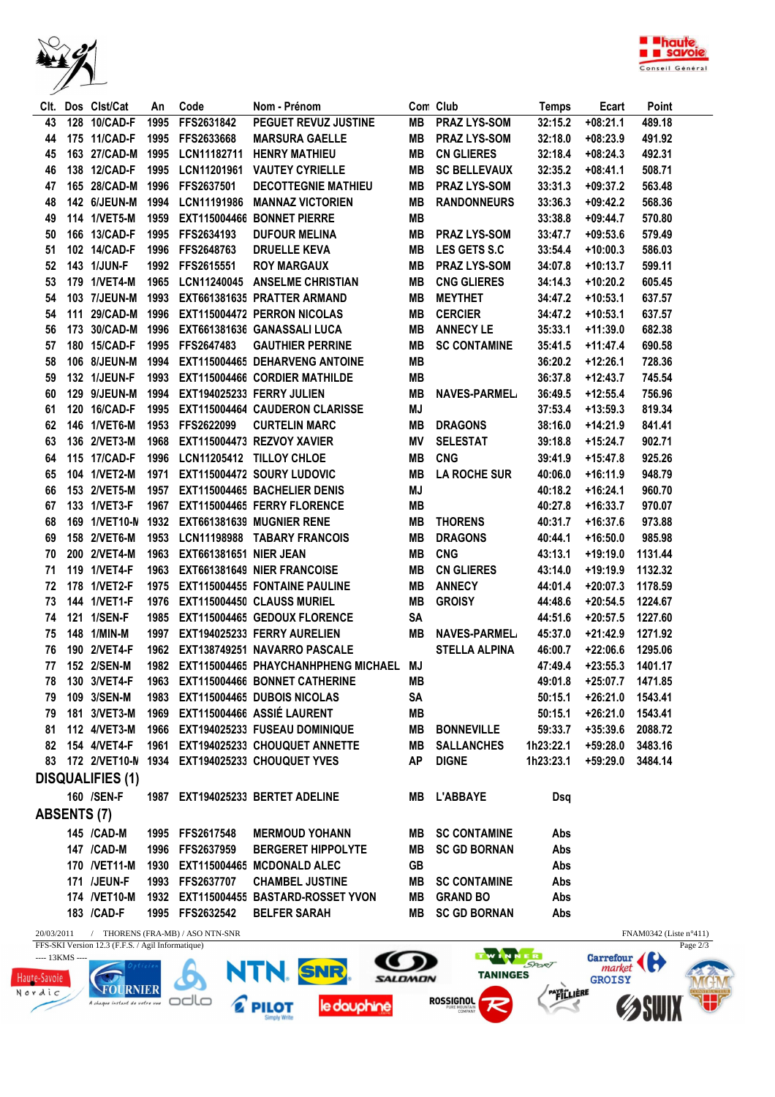



| 128 10/CAD-F<br>FFS2631842<br>PEGUET REVUZ JUSTINE<br><b>PRAZ LYS-SOM</b><br>489.18<br>43<br>1995<br>MВ<br>32:15.2<br>$+08:21.1$<br>175 11/CAD-F<br>1995<br><b>FFS2633668</b><br><b>MARSURA GAELLE</b><br>MВ<br><b>PRAZ LYS-SOM</b><br>32:18.0<br>$+08:23.9$<br>491.92<br>44<br>163 27/CAD-M<br><b>CN GLIERES</b><br>1995<br>LCN11182711<br><b>HENRY MATHIEU</b><br>MВ<br>32:18.4<br>$+08:24.3$<br>492.31<br>45<br>138 12/CAD-F<br>1995<br><b>VAUTEY CYRIELLE</b><br><b>SC BELLEVAUX</b><br>46<br>LCN11201961<br>MВ<br>32:35.2<br>$+08:41.1$<br>508.71<br>165 28/CAD-M<br>47<br>1996<br>FFS2637501<br><b>DECOTTEGNIE MATHIEU</b><br>MВ<br><b>PRAZ LYS-SOM</b><br>33:31.3<br>$+09:37.2$<br>563.48<br>142 6/JEUN-M<br>1994<br>LCN11191986<br><b>MANNAZ VICTORIEN</b><br>MВ<br><b>RANDONNEURS</b><br>33:36.3<br>$+09:42.2$<br>568.36<br>48<br>114 1/VET5-M<br>1959 EXT115004466 BONNET PIERRE<br><b>MB</b><br>33:38.8<br>570.80<br>49<br>$+09:44.7$<br>166 13/CAD-F<br>1995 FFS2634193<br><b>DUFOUR MELINA</b><br>MВ<br><b>PRAZ LYS-SOM</b><br>33:47.7<br>579.49<br>50<br>$+09:53.6$<br>51<br>102 14/CAD-F<br>1996 FFS2648763<br><b>DRUELLE KEVA</b><br>MВ<br><b>LES GETS S.C</b><br>33:54.4<br>$+10:00.3$<br>586.03<br>143 1/JUN-F<br>52<br>1992 FFS2615551<br><b>ROY MARGAUX</b><br>MВ<br><b>PRAZ LYS-SOM</b><br>599.11<br>34:07.8<br>$+10:13.7$<br>53<br>179 1/VET4-M<br>1965 LCN11240045 ANSELME CHRISTIAN<br>MВ<br><b>CNG GLIERES</b><br>$+10:20.2$<br>605.45<br>34:14.3<br>54<br>103 7/JEUN-M<br>1993<br>EXT661381635 PRATTER ARMAND<br>MВ<br><b>MEYTHET</b><br>34:47.2<br>$+10:53.1$<br>637.57<br>111 29/CAD-M<br>1996 EXT115004472 PERRON NICOLAS<br>MВ<br><b>CERCIER</b><br>637.57<br>54<br>34:47.2<br>$+10:53.1$<br>56<br>173 30/CAD-M<br>1996<br>EXT661381636 GANASSALI LUCA<br>MВ<br><b>ANNECY LE</b><br>35:33.1<br>682.38<br>$+11:39.0$<br>180 15/CAD-F<br>MВ<br>57<br>1995<br>FFS2647483<br><b>GAUTHIER PERRINE</b><br><b>SC CONTAMINE</b><br>35:41.5<br>$+11:47.4$<br>690.58<br>MB<br>58<br>106 8/JEUN-M<br>1994<br>EXT115004465 DEHARVENG ANTOINE<br>$+12:26.1$<br>728.36<br>36:20.2<br>132 1/JEUN-F<br><b>MB</b><br>1993<br>EXT115004466 CORDIER MATHILDE<br>36:37.8<br>$+12:43.7$<br>745.54<br>59<br>129 9/JEUN-M<br><b>MB</b><br>1994<br>EXT194025233 FERRY JULIEN<br>60<br><b>NAVES-PARMEL</b><br>36:49.5<br>$+12:55.4$<br>756.96<br>MJ<br>120 16/CAD-F<br>1995<br>EXT115004464 CAUDERON CLARISSE<br>819.34<br>61<br>37:53.4<br>$+13:59.3$<br>146 1/VET6-M<br>1953<br>FFS2622099<br><b>CURTELIN MARC</b><br>MВ<br><b>DRAGONS</b><br>841.41<br>62<br>38:16.0<br>+14:21.9<br>63<br>136 2/VET3-M<br>1968<br>EXT115004473 REZVOY XAVIER<br>ΜV<br><b>SELESTAT</b><br>902.71<br>39:18.8<br>+15:24.7<br>115 17/CAD-F<br>LCN11205412 TILLOY CHLOE<br><b>CNG</b><br>1996<br>MВ<br>$+15:47.8$<br>925.26<br>64<br>39:41.9<br>104 1/VET2-M<br>EXT115004472 SOURY LUDOVIC<br>65<br>1971<br>MВ<br><b>LA ROCHE SUR</b><br>40:06.0<br>$+16:11.9$<br>948.79<br>153 2/VET5-M<br>MJ<br>1957<br>EXT115004465 BACHELIER DENIS<br>$+16:24.1$<br>960.70<br>66<br>40:18.2<br>133 1/VET3-F<br>67<br>1967<br>EXT115004465 FERRY FLORENCE<br>MВ<br>40:27.8<br>$+16:33.7$<br>970.07<br>169 1/VET10-N 1932<br>68<br>EXT661381639 MUGNIER RENE<br>MВ<br><b>THORENS</b><br>40:31.7<br>$+16:37.6$<br>973.88<br>158 2/VET6-M<br>1953<br>LCN11198988 TABARY FRANCOIS<br>MВ<br><b>DRAGONS</b><br>985.98<br>69<br>40:44.1<br>$+16:50.0$<br>200 2/VET4-M<br><b>CNG</b><br>1963 EXT661381651 NIER JEAN<br>MВ<br>43:13.1<br>1131.44<br>70<br>$+19:19.0$<br>119 1/VET4-F<br><b>CN GLIERES</b><br>71<br>1963 EXT661381649 NIER FRANCOISE<br>MВ<br>43:14.0<br>$+19:19.9$<br>1132.32<br>72<br>178 1/VET2-F<br>1975 EXT115004455 FONTAINE PAULINE<br>MВ<br><b>ANNECY</b><br>$+20:07.3$<br>1178.59<br>44:01.4<br>73<br>144 1/VET1-F<br>1976 EXT115004450 CLAUSS MURIEL<br>MВ<br><b>GROISY</b><br>$+20:54.5$<br>1224.67<br>44:48.6<br>121 1/SEN-F<br>SA<br>74<br>1985 EXT115004465 GEDOUX FLORENCE<br>$+20:57.5$<br>1227.60<br>44:51.6<br>75<br>148 1/MIN-M<br>1997<br>EXT194025233 FERRY AURELIEN<br>MB<br><b>NAVES-PARMEL</b><br>45:37.0<br>$+21:42.9$<br>1271.92<br>76<br>190 2/VET4-F<br>1962 EXT138749251 NAVARRO PASCALE<br><b>STELLA ALPINA</b><br>$+22:06.6$<br>1295.06<br>46:00.7<br>77<br>152 2/SEN-M<br>1982 EXT115004465 PHAYCHANHPHENG MICHAEL MJ<br>47:49.4<br>$+23:55.3$<br>1401.17<br>130 3/VET4-F 1963 EXT115004466 BONNET CATHERINE<br>49:01.8 +25:07.7 1471.85<br>78<br><b>MB</b><br>79 109 3/SEN-M<br>1983 EXT115004465 DUBOIS NICOLAS<br>SA<br>$+26:21.0$<br>1543.41<br>50:15.1<br>79 181 3/VET3-M 1969 EXT115004466 ASSIÉ LAURENT<br>MВ<br>50:15.1<br>$+26:21.0$<br>1543.41<br>81 112 4/VET3-M<br>1966 EXT194025233 FUSEAU DOMINIQUE<br>MВ<br>+35:39.6 2088.72<br><b>BONNEVILLE</b><br>59:33.7<br>82 154 4/VET4-F<br>1961 EXT194025233 CHOUQUET ANNETTE<br>MB<br><b>SALLANCHES</b><br>1h23:22.1<br>+59:28.0 3483.16<br>83 172 2/VET10-N 1934 EXT194025233 CHOUQUET YVES<br><b>AP</b><br><b>DIGNE</b><br>1h23:23.1<br>+59:29.0 3484.14<br><b>DISQUALIFIES (1)</b><br>160 /SEN-F<br>1987 EXT194025233 BERTET ADELINE<br>MB L'ABBAYE<br>Dsq<br><b>ABSENTS (7)</b><br>145 / CAD-M<br>1995 FFS2617548<br><b>MERMOUD YOHANN</b><br><b>MB SC CONTAMINE</b><br>Abs<br>147 / CAD-M<br>1996 FFS2637959<br><b>BERGERET HIPPOLYTE</b><br><b>SC GD BORNAN</b><br>Abs<br>MB<br>170 /VET11-M 1930 EXT115004465 MCDONALD ALEC<br><b>GB</b><br>Abs<br><b>171 /JEUN-F</b><br>1993 FFS2637707<br><b>CHAMBEL JUSTINE</b><br><b>MB SC CONTAMINE</b><br>Abs<br>174 /VET10-M 1932 EXT115004455 BASTARD-ROSSET YVON<br>MB GRAND BO<br>Abs<br>183 / CAD-F<br>1995 FFS2632542<br><b>BELFER SARAH</b><br><b>MB SC GD BORNAN</b><br>Abs<br>20/03/2011 / THORENS (FRA-MB) / ASO NTN-SNR<br>$FNAM0342$ (Liste n°411) |  |  | Clt. Dos Clst/Cat | An | Code | Nom - Prénom |  | Con Club | <b>Temps</b> | Ecart | Point |
|---------------------------------------------------------------------------------------------------------------------------------------------------------------------------------------------------------------------------------------------------------------------------------------------------------------------------------------------------------------------------------------------------------------------------------------------------------------------------------------------------------------------------------------------------------------------------------------------------------------------------------------------------------------------------------------------------------------------------------------------------------------------------------------------------------------------------------------------------------------------------------------------------------------------------------------------------------------------------------------------------------------------------------------------------------------------------------------------------------------------------------------------------------------------------------------------------------------------------------------------------------------------------------------------------------------------------------------------------------------------------------------------------------------------------------------------------------------------------------------------------------------------------------------------------------------------------------------------------------------------------------------------------------------------------------------------------------------------------------------------------------------------------------------------------------------------------------------------------------------------------------------------------------------------------------------------------------------------------------------------------------------------------------------------------------------------------------------------------------------------------------------------------------------------------------------------------------------------------------------------------------------------------------------------------------------------------------------------------------------------------------------------------------------------------------------------------------------------------------------------------------------------------------------------------------------------------------------------------------------------------------------------------------------------------------------------------------------------------------------------------------------------------------------------------------------------------------------------------------------------------------------------------------------------------------------------------------------------------------------------------------------------------------------------------------------------------------------------------------------------------------------------------------------------------------------------------------------------------------------------------------------------------------------------------------------------------------------------------------------------------------------------------------------------------------------------------------------------------------------------------------------------------------------------------------------------------------------------------------------------------------------------------------------------------------------------------------------------------------------------------------------------------------------------------------------------------------------------------------------------------------------------------------------------------------------------------------------------------------------------------------------------------------------------------------------------------------------------------------------------------------------------------------------------------------------------------------------------------------------------------------------------------------------------------------------------------------------------------------------------------------------------------------------------------------------------------------------------------------------------------------------------------------------------------------------------------------------------------------------------------------------------------------------------------------------------------------------------------------------------------------------------------------------------------------------------------------------------------------------------------------------------------------------------------------------------------------------------------------------------------------------------------------------------------------------------------------------------------------------------------------------------------------------------------------------------------------------------------------------------------------------------------------------------------------------------------------------------------------------------------------------------------------------------------------------------------------------------------------------------------------------------------------------------------------------------------------------------------------------------------------------------------------------------------------------------------------------------------------------------------------------------------------|--|--|-------------------|----|------|--------------|--|----------|--------------|-------|-------|
|                                                                                                                                                                                                                                                                                                                                                                                                                                                                                                                                                                                                                                                                                                                                                                                                                                                                                                                                                                                                                                                                                                                                                                                                                                                                                                                                                                                                                                                                                                                                                                                                                                                                                                                                                                                                                                                                                                                                                                                                                                                                                                                                                                                                                                                                                                                                                                                                                                                                                                                                                                                                                                                                                                                                                                                                                                                                                                                                                                                                                                                                                                                                                                                                                                                                                                                                                                                                                                                                                                                                                                                                                                                                                                                                                                                                                                                                                                                                                                                                                                                                                                                                                                                                                                                                                                                                                                                                                                                                                                                                                                                                                                                                                                                                                                                                                                                                                                                                                                                                                                                                                                                                                                                                                                                                                                                                                                                                                                                                                                                                                                                                                                                                                                                                                                                 |  |  |                   |    |      |              |  |          |              |       |       |
|                                                                                                                                                                                                                                                                                                                                                                                                                                                                                                                                                                                                                                                                                                                                                                                                                                                                                                                                                                                                                                                                                                                                                                                                                                                                                                                                                                                                                                                                                                                                                                                                                                                                                                                                                                                                                                                                                                                                                                                                                                                                                                                                                                                                                                                                                                                                                                                                                                                                                                                                                                                                                                                                                                                                                                                                                                                                                                                                                                                                                                                                                                                                                                                                                                                                                                                                                                                                                                                                                                                                                                                                                                                                                                                                                                                                                                                                                                                                                                                                                                                                                                                                                                                                                                                                                                                                                                                                                                                                                                                                                                                                                                                                                                                                                                                                                                                                                                                                                                                                                                                                                                                                                                                                                                                                                                                                                                                                                                                                                                                                                                                                                                                                                                                                                                                 |  |  |                   |    |      |              |  |          |              |       |       |
|                                                                                                                                                                                                                                                                                                                                                                                                                                                                                                                                                                                                                                                                                                                                                                                                                                                                                                                                                                                                                                                                                                                                                                                                                                                                                                                                                                                                                                                                                                                                                                                                                                                                                                                                                                                                                                                                                                                                                                                                                                                                                                                                                                                                                                                                                                                                                                                                                                                                                                                                                                                                                                                                                                                                                                                                                                                                                                                                                                                                                                                                                                                                                                                                                                                                                                                                                                                                                                                                                                                                                                                                                                                                                                                                                                                                                                                                                                                                                                                                                                                                                                                                                                                                                                                                                                                                                                                                                                                                                                                                                                                                                                                                                                                                                                                                                                                                                                                                                                                                                                                                                                                                                                                                                                                                                                                                                                                                                                                                                                                                                                                                                                                                                                                                                                                 |  |  |                   |    |      |              |  |          |              |       |       |
|                                                                                                                                                                                                                                                                                                                                                                                                                                                                                                                                                                                                                                                                                                                                                                                                                                                                                                                                                                                                                                                                                                                                                                                                                                                                                                                                                                                                                                                                                                                                                                                                                                                                                                                                                                                                                                                                                                                                                                                                                                                                                                                                                                                                                                                                                                                                                                                                                                                                                                                                                                                                                                                                                                                                                                                                                                                                                                                                                                                                                                                                                                                                                                                                                                                                                                                                                                                                                                                                                                                                                                                                                                                                                                                                                                                                                                                                                                                                                                                                                                                                                                                                                                                                                                                                                                                                                                                                                                                                                                                                                                                                                                                                                                                                                                                                                                                                                                                                                                                                                                                                                                                                                                                                                                                                                                                                                                                                                                                                                                                                                                                                                                                                                                                                                                                 |  |  |                   |    |      |              |  |          |              |       |       |
|                                                                                                                                                                                                                                                                                                                                                                                                                                                                                                                                                                                                                                                                                                                                                                                                                                                                                                                                                                                                                                                                                                                                                                                                                                                                                                                                                                                                                                                                                                                                                                                                                                                                                                                                                                                                                                                                                                                                                                                                                                                                                                                                                                                                                                                                                                                                                                                                                                                                                                                                                                                                                                                                                                                                                                                                                                                                                                                                                                                                                                                                                                                                                                                                                                                                                                                                                                                                                                                                                                                                                                                                                                                                                                                                                                                                                                                                                                                                                                                                                                                                                                                                                                                                                                                                                                                                                                                                                                                                                                                                                                                                                                                                                                                                                                                                                                                                                                                                                                                                                                                                                                                                                                                                                                                                                                                                                                                                                                                                                                                                                                                                                                                                                                                                                                                 |  |  |                   |    |      |              |  |          |              |       |       |
|                                                                                                                                                                                                                                                                                                                                                                                                                                                                                                                                                                                                                                                                                                                                                                                                                                                                                                                                                                                                                                                                                                                                                                                                                                                                                                                                                                                                                                                                                                                                                                                                                                                                                                                                                                                                                                                                                                                                                                                                                                                                                                                                                                                                                                                                                                                                                                                                                                                                                                                                                                                                                                                                                                                                                                                                                                                                                                                                                                                                                                                                                                                                                                                                                                                                                                                                                                                                                                                                                                                                                                                                                                                                                                                                                                                                                                                                                                                                                                                                                                                                                                                                                                                                                                                                                                                                                                                                                                                                                                                                                                                                                                                                                                                                                                                                                                                                                                                                                                                                                                                                                                                                                                                                                                                                                                                                                                                                                                                                                                                                                                                                                                                                                                                                                                                 |  |  |                   |    |      |              |  |          |              |       |       |
|                                                                                                                                                                                                                                                                                                                                                                                                                                                                                                                                                                                                                                                                                                                                                                                                                                                                                                                                                                                                                                                                                                                                                                                                                                                                                                                                                                                                                                                                                                                                                                                                                                                                                                                                                                                                                                                                                                                                                                                                                                                                                                                                                                                                                                                                                                                                                                                                                                                                                                                                                                                                                                                                                                                                                                                                                                                                                                                                                                                                                                                                                                                                                                                                                                                                                                                                                                                                                                                                                                                                                                                                                                                                                                                                                                                                                                                                                                                                                                                                                                                                                                                                                                                                                                                                                                                                                                                                                                                                                                                                                                                                                                                                                                                                                                                                                                                                                                                                                                                                                                                                                                                                                                                                                                                                                                                                                                                                                                                                                                                                                                                                                                                                                                                                                                                 |  |  |                   |    |      |              |  |          |              |       |       |
|                                                                                                                                                                                                                                                                                                                                                                                                                                                                                                                                                                                                                                                                                                                                                                                                                                                                                                                                                                                                                                                                                                                                                                                                                                                                                                                                                                                                                                                                                                                                                                                                                                                                                                                                                                                                                                                                                                                                                                                                                                                                                                                                                                                                                                                                                                                                                                                                                                                                                                                                                                                                                                                                                                                                                                                                                                                                                                                                                                                                                                                                                                                                                                                                                                                                                                                                                                                                                                                                                                                                                                                                                                                                                                                                                                                                                                                                                                                                                                                                                                                                                                                                                                                                                                                                                                                                                                                                                                                                                                                                                                                                                                                                                                                                                                                                                                                                                                                                                                                                                                                                                                                                                                                                                                                                                                                                                                                                                                                                                                                                                                                                                                                                                                                                                                                 |  |  |                   |    |      |              |  |          |              |       |       |
|                                                                                                                                                                                                                                                                                                                                                                                                                                                                                                                                                                                                                                                                                                                                                                                                                                                                                                                                                                                                                                                                                                                                                                                                                                                                                                                                                                                                                                                                                                                                                                                                                                                                                                                                                                                                                                                                                                                                                                                                                                                                                                                                                                                                                                                                                                                                                                                                                                                                                                                                                                                                                                                                                                                                                                                                                                                                                                                                                                                                                                                                                                                                                                                                                                                                                                                                                                                                                                                                                                                                                                                                                                                                                                                                                                                                                                                                                                                                                                                                                                                                                                                                                                                                                                                                                                                                                                                                                                                                                                                                                                                                                                                                                                                                                                                                                                                                                                                                                                                                                                                                                                                                                                                                                                                                                                                                                                                                                                                                                                                                                                                                                                                                                                                                                                                 |  |  |                   |    |      |              |  |          |              |       |       |
|                                                                                                                                                                                                                                                                                                                                                                                                                                                                                                                                                                                                                                                                                                                                                                                                                                                                                                                                                                                                                                                                                                                                                                                                                                                                                                                                                                                                                                                                                                                                                                                                                                                                                                                                                                                                                                                                                                                                                                                                                                                                                                                                                                                                                                                                                                                                                                                                                                                                                                                                                                                                                                                                                                                                                                                                                                                                                                                                                                                                                                                                                                                                                                                                                                                                                                                                                                                                                                                                                                                                                                                                                                                                                                                                                                                                                                                                                                                                                                                                                                                                                                                                                                                                                                                                                                                                                                                                                                                                                                                                                                                                                                                                                                                                                                                                                                                                                                                                                                                                                                                                                                                                                                                                                                                                                                                                                                                                                                                                                                                                                                                                                                                                                                                                                                                 |  |  |                   |    |      |              |  |          |              |       |       |
|                                                                                                                                                                                                                                                                                                                                                                                                                                                                                                                                                                                                                                                                                                                                                                                                                                                                                                                                                                                                                                                                                                                                                                                                                                                                                                                                                                                                                                                                                                                                                                                                                                                                                                                                                                                                                                                                                                                                                                                                                                                                                                                                                                                                                                                                                                                                                                                                                                                                                                                                                                                                                                                                                                                                                                                                                                                                                                                                                                                                                                                                                                                                                                                                                                                                                                                                                                                                                                                                                                                                                                                                                                                                                                                                                                                                                                                                                                                                                                                                                                                                                                                                                                                                                                                                                                                                                                                                                                                                                                                                                                                                                                                                                                                                                                                                                                                                                                                                                                                                                                                                                                                                                                                                                                                                                                                                                                                                                                                                                                                                                                                                                                                                                                                                                                                 |  |  |                   |    |      |              |  |          |              |       |       |
|                                                                                                                                                                                                                                                                                                                                                                                                                                                                                                                                                                                                                                                                                                                                                                                                                                                                                                                                                                                                                                                                                                                                                                                                                                                                                                                                                                                                                                                                                                                                                                                                                                                                                                                                                                                                                                                                                                                                                                                                                                                                                                                                                                                                                                                                                                                                                                                                                                                                                                                                                                                                                                                                                                                                                                                                                                                                                                                                                                                                                                                                                                                                                                                                                                                                                                                                                                                                                                                                                                                                                                                                                                                                                                                                                                                                                                                                                                                                                                                                                                                                                                                                                                                                                                                                                                                                                                                                                                                                                                                                                                                                                                                                                                                                                                                                                                                                                                                                                                                                                                                                                                                                                                                                                                                                                                                                                                                                                                                                                                                                                                                                                                                                                                                                                                                 |  |  |                   |    |      |              |  |          |              |       |       |
|                                                                                                                                                                                                                                                                                                                                                                                                                                                                                                                                                                                                                                                                                                                                                                                                                                                                                                                                                                                                                                                                                                                                                                                                                                                                                                                                                                                                                                                                                                                                                                                                                                                                                                                                                                                                                                                                                                                                                                                                                                                                                                                                                                                                                                                                                                                                                                                                                                                                                                                                                                                                                                                                                                                                                                                                                                                                                                                                                                                                                                                                                                                                                                                                                                                                                                                                                                                                                                                                                                                                                                                                                                                                                                                                                                                                                                                                                                                                                                                                                                                                                                                                                                                                                                                                                                                                                                                                                                                                                                                                                                                                                                                                                                                                                                                                                                                                                                                                                                                                                                                                                                                                                                                                                                                                                                                                                                                                                                                                                                                                                                                                                                                                                                                                                                                 |  |  |                   |    |      |              |  |          |              |       |       |
|                                                                                                                                                                                                                                                                                                                                                                                                                                                                                                                                                                                                                                                                                                                                                                                                                                                                                                                                                                                                                                                                                                                                                                                                                                                                                                                                                                                                                                                                                                                                                                                                                                                                                                                                                                                                                                                                                                                                                                                                                                                                                                                                                                                                                                                                                                                                                                                                                                                                                                                                                                                                                                                                                                                                                                                                                                                                                                                                                                                                                                                                                                                                                                                                                                                                                                                                                                                                                                                                                                                                                                                                                                                                                                                                                                                                                                                                                                                                                                                                                                                                                                                                                                                                                                                                                                                                                                                                                                                                                                                                                                                                                                                                                                                                                                                                                                                                                                                                                                                                                                                                                                                                                                                                                                                                                                                                                                                                                                                                                                                                                                                                                                                                                                                                                                                 |  |  |                   |    |      |              |  |          |              |       |       |
|                                                                                                                                                                                                                                                                                                                                                                                                                                                                                                                                                                                                                                                                                                                                                                                                                                                                                                                                                                                                                                                                                                                                                                                                                                                                                                                                                                                                                                                                                                                                                                                                                                                                                                                                                                                                                                                                                                                                                                                                                                                                                                                                                                                                                                                                                                                                                                                                                                                                                                                                                                                                                                                                                                                                                                                                                                                                                                                                                                                                                                                                                                                                                                                                                                                                                                                                                                                                                                                                                                                                                                                                                                                                                                                                                                                                                                                                                                                                                                                                                                                                                                                                                                                                                                                                                                                                                                                                                                                                                                                                                                                                                                                                                                                                                                                                                                                                                                                                                                                                                                                                                                                                                                                                                                                                                                                                                                                                                                                                                                                                                                                                                                                                                                                                                                                 |  |  |                   |    |      |              |  |          |              |       |       |
|                                                                                                                                                                                                                                                                                                                                                                                                                                                                                                                                                                                                                                                                                                                                                                                                                                                                                                                                                                                                                                                                                                                                                                                                                                                                                                                                                                                                                                                                                                                                                                                                                                                                                                                                                                                                                                                                                                                                                                                                                                                                                                                                                                                                                                                                                                                                                                                                                                                                                                                                                                                                                                                                                                                                                                                                                                                                                                                                                                                                                                                                                                                                                                                                                                                                                                                                                                                                                                                                                                                                                                                                                                                                                                                                                                                                                                                                                                                                                                                                                                                                                                                                                                                                                                                                                                                                                                                                                                                                                                                                                                                                                                                                                                                                                                                                                                                                                                                                                                                                                                                                                                                                                                                                                                                                                                                                                                                                                                                                                                                                                                                                                                                                                                                                                                                 |  |  |                   |    |      |              |  |          |              |       |       |
|                                                                                                                                                                                                                                                                                                                                                                                                                                                                                                                                                                                                                                                                                                                                                                                                                                                                                                                                                                                                                                                                                                                                                                                                                                                                                                                                                                                                                                                                                                                                                                                                                                                                                                                                                                                                                                                                                                                                                                                                                                                                                                                                                                                                                                                                                                                                                                                                                                                                                                                                                                                                                                                                                                                                                                                                                                                                                                                                                                                                                                                                                                                                                                                                                                                                                                                                                                                                                                                                                                                                                                                                                                                                                                                                                                                                                                                                                                                                                                                                                                                                                                                                                                                                                                                                                                                                                                                                                                                                                                                                                                                                                                                                                                                                                                                                                                                                                                                                                                                                                                                                                                                                                                                                                                                                                                                                                                                                                                                                                                                                                                                                                                                                                                                                                                                 |  |  |                   |    |      |              |  |          |              |       |       |
|                                                                                                                                                                                                                                                                                                                                                                                                                                                                                                                                                                                                                                                                                                                                                                                                                                                                                                                                                                                                                                                                                                                                                                                                                                                                                                                                                                                                                                                                                                                                                                                                                                                                                                                                                                                                                                                                                                                                                                                                                                                                                                                                                                                                                                                                                                                                                                                                                                                                                                                                                                                                                                                                                                                                                                                                                                                                                                                                                                                                                                                                                                                                                                                                                                                                                                                                                                                                                                                                                                                                                                                                                                                                                                                                                                                                                                                                                                                                                                                                                                                                                                                                                                                                                                                                                                                                                                                                                                                                                                                                                                                                                                                                                                                                                                                                                                                                                                                                                                                                                                                                                                                                                                                                                                                                                                                                                                                                                                                                                                                                                                                                                                                                                                                                                                                 |  |  |                   |    |      |              |  |          |              |       |       |
|                                                                                                                                                                                                                                                                                                                                                                                                                                                                                                                                                                                                                                                                                                                                                                                                                                                                                                                                                                                                                                                                                                                                                                                                                                                                                                                                                                                                                                                                                                                                                                                                                                                                                                                                                                                                                                                                                                                                                                                                                                                                                                                                                                                                                                                                                                                                                                                                                                                                                                                                                                                                                                                                                                                                                                                                                                                                                                                                                                                                                                                                                                                                                                                                                                                                                                                                                                                                                                                                                                                                                                                                                                                                                                                                                                                                                                                                                                                                                                                                                                                                                                                                                                                                                                                                                                                                                                                                                                                                                                                                                                                                                                                                                                                                                                                                                                                                                                                                                                                                                                                                                                                                                                                                                                                                                                                                                                                                                                                                                                                                                                                                                                                                                                                                                                                 |  |  |                   |    |      |              |  |          |              |       |       |
|                                                                                                                                                                                                                                                                                                                                                                                                                                                                                                                                                                                                                                                                                                                                                                                                                                                                                                                                                                                                                                                                                                                                                                                                                                                                                                                                                                                                                                                                                                                                                                                                                                                                                                                                                                                                                                                                                                                                                                                                                                                                                                                                                                                                                                                                                                                                                                                                                                                                                                                                                                                                                                                                                                                                                                                                                                                                                                                                                                                                                                                                                                                                                                                                                                                                                                                                                                                                                                                                                                                                                                                                                                                                                                                                                                                                                                                                                                                                                                                                                                                                                                                                                                                                                                                                                                                                                                                                                                                                                                                                                                                                                                                                                                                                                                                                                                                                                                                                                                                                                                                                                                                                                                                                                                                                                                                                                                                                                                                                                                                                                                                                                                                                                                                                                                                 |  |  |                   |    |      |              |  |          |              |       |       |
|                                                                                                                                                                                                                                                                                                                                                                                                                                                                                                                                                                                                                                                                                                                                                                                                                                                                                                                                                                                                                                                                                                                                                                                                                                                                                                                                                                                                                                                                                                                                                                                                                                                                                                                                                                                                                                                                                                                                                                                                                                                                                                                                                                                                                                                                                                                                                                                                                                                                                                                                                                                                                                                                                                                                                                                                                                                                                                                                                                                                                                                                                                                                                                                                                                                                                                                                                                                                                                                                                                                                                                                                                                                                                                                                                                                                                                                                                                                                                                                                                                                                                                                                                                                                                                                                                                                                                                                                                                                                                                                                                                                                                                                                                                                                                                                                                                                                                                                                                                                                                                                                                                                                                                                                                                                                                                                                                                                                                                                                                                                                                                                                                                                                                                                                                                                 |  |  |                   |    |      |              |  |          |              |       |       |
|                                                                                                                                                                                                                                                                                                                                                                                                                                                                                                                                                                                                                                                                                                                                                                                                                                                                                                                                                                                                                                                                                                                                                                                                                                                                                                                                                                                                                                                                                                                                                                                                                                                                                                                                                                                                                                                                                                                                                                                                                                                                                                                                                                                                                                                                                                                                                                                                                                                                                                                                                                                                                                                                                                                                                                                                                                                                                                                                                                                                                                                                                                                                                                                                                                                                                                                                                                                                                                                                                                                                                                                                                                                                                                                                                                                                                                                                                                                                                                                                                                                                                                                                                                                                                                                                                                                                                                                                                                                                                                                                                                                                                                                                                                                                                                                                                                                                                                                                                                                                                                                                                                                                                                                                                                                                                                                                                                                                                                                                                                                                                                                                                                                                                                                                                                                 |  |  |                   |    |      |              |  |          |              |       |       |
|                                                                                                                                                                                                                                                                                                                                                                                                                                                                                                                                                                                                                                                                                                                                                                                                                                                                                                                                                                                                                                                                                                                                                                                                                                                                                                                                                                                                                                                                                                                                                                                                                                                                                                                                                                                                                                                                                                                                                                                                                                                                                                                                                                                                                                                                                                                                                                                                                                                                                                                                                                                                                                                                                                                                                                                                                                                                                                                                                                                                                                                                                                                                                                                                                                                                                                                                                                                                                                                                                                                                                                                                                                                                                                                                                                                                                                                                                                                                                                                                                                                                                                                                                                                                                                                                                                                                                                                                                                                                                                                                                                                                                                                                                                                                                                                                                                                                                                                                                                                                                                                                                                                                                                                                                                                                                                                                                                                                                                                                                                                                                                                                                                                                                                                                                                                 |  |  |                   |    |      |              |  |          |              |       |       |
|                                                                                                                                                                                                                                                                                                                                                                                                                                                                                                                                                                                                                                                                                                                                                                                                                                                                                                                                                                                                                                                                                                                                                                                                                                                                                                                                                                                                                                                                                                                                                                                                                                                                                                                                                                                                                                                                                                                                                                                                                                                                                                                                                                                                                                                                                                                                                                                                                                                                                                                                                                                                                                                                                                                                                                                                                                                                                                                                                                                                                                                                                                                                                                                                                                                                                                                                                                                                                                                                                                                                                                                                                                                                                                                                                                                                                                                                                                                                                                                                                                                                                                                                                                                                                                                                                                                                                                                                                                                                                                                                                                                                                                                                                                                                                                                                                                                                                                                                                                                                                                                                                                                                                                                                                                                                                                                                                                                                                                                                                                                                                                                                                                                                                                                                                                                 |  |  |                   |    |      |              |  |          |              |       |       |
|                                                                                                                                                                                                                                                                                                                                                                                                                                                                                                                                                                                                                                                                                                                                                                                                                                                                                                                                                                                                                                                                                                                                                                                                                                                                                                                                                                                                                                                                                                                                                                                                                                                                                                                                                                                                                                                                                                                                                                                                                                                                                                                                                                                                                                                                                                                                                                                                                                                                                                                                                                                                                                                                                                                                                                                                                                                                                                                                                                                                                                                                                                                                                                                                                                                                                                                                                                                                                                                                                                                                                                                                                                                                                                                                                                                                                                                                                                                                                                                                                                                                                                                                                                                                                                                                                                                                                                                                                                                                                                                                                                                                                                                                                                                                                                                                                                                                                                                                                                                                                                                                                                                                                                                                                                                                                                                                                                                                                                                                                                                                                                                                                                                                                                                                                                                 |  |  |                   |    |      |              |  |          |              |       |       |
|                                                                                                                                                                                                                                                                                                                                                                                                                                                                                                                                                                                                                                                                                                                                                                                                                                                                                                                                                                                                                                                                                                                                                                                                                                                                                                                                                                                                                                                                                                                                                                                                                                                                                                                                                                                                                                                                                                                                                                                                                                                                                                                                                                                                                                                                                                                                                                                                                                                                                                                                                                                                                                                                                                                                                                                                                                                                                                                                                                                                                                                                                                                                                                                                                                                                                                                                                                                                                                                                                                                                                                                                                                                                                                                                                                                                                                                                                                                                                                                                                                                                                                                                                                                                                                                                                                                                                                                                                                                                                                                                                                                                                                                                                                                                                                                                                                                                                                                                                                                                                                                                                                                                                                                                                                                                                                                                                                                                                                                                                                                                                                                                                                                                                                                                                                                 |  |  |                   |    |      |              |  |          |              |       |       |
|                                                                                                                                                                                                                                                                                                                                                                                                                                                                                                                                                                                                                                                                                                                                                                                                                                                                                                                                                                                                                                                                                                                                                                                                                                                                                                                                                                                                                                                                                                                                                                                                                                                                                                                                                                                                                                                                                                                                                                                                                                                                                                                                                                                                                                                                                                                                                                                                                                                                                                                                                                                                                                                                                                                                                                                                                                                                                                                                                                                                                                                                                                                                                                                                                                                                                                                                                                                                                                                                                                                                                                                                                                                                                                                                                                                                                                                                                                                                                                                                                                                                                                                                                                                                                                                                                                                                                                                                                                                                                                                                                                                                                                                                                                                                                                                                                                                                                                                                                                                                                                                                                                                                                                                                                                                                                                                                                                                                                                                                                                                                                                                                                                                                                                                                                                                 |  |  |                   |    |      |              |  |          |              |       |       |
|                                                                                                                                                                                                                                                                                                                                                                                                                                                                                                                                                                                                                                                                                                                                                                                                                                                                                                                                                                                                                                                                                                                                                                                                                                                                                                                                                                                                                                                                                                                                                                                                                                                                                                                                                                                                                                                                                                                                                                                                                                                                                                                                                                                                                                                                                                                                                                                                                                                                                                                                                                                                                                                                                                                                                                                                                                                                                                                                                                                                                                                                                                                                                                                                                                                                                                                                                                                                                                                                                                                                                                                                                                                                                                                                                                                                                                                                                                                                                                                                                                                                                                                                                                                                                                                                                                                                                                                                                                                                                                                                                                                                                                                                                                                                                                                                                                                                                                                                                                                                                                                                                                                                                                                                                                                                                                                                                                                                                                                                                                                                                                                                                                                                                                                                                                                 |  |  |                   |    |      |              |  |          |              |       |       |
|                                                                                                                                                                                                                                                                                                                                                                                                                                                                                                                                                                                                                                                                                                                                                                                                                                                                                                                                                                                                                                                                                                                                                                                                                                                                                                                                                                                                                                                                                                                                                                                                                                                                                                                                                                                                                                                                                                                                                                                                                                                                                                                                                                                                                                                                                                                                                                                                                                                                                                                                                                                                                                                                                                                                                                                                                                                                                                                                                                                                                                                                                                                                                                                                                                                                                                                                                                                                                                                                                                                                                                                                                                                                                                                                                                                                                                                                                                                                                                                                                                                                                                                                                                                                                                                                                                                                                                                                                                                                                                                                                                                                                                                                                                                                                                                                                                                                                                                                                                                                                                                                                                                                                                                                                                                                                                                                                                                                                                                                                                                                                                                                                                                                                                                                                                                 |  |  |                   |    |      |              |  |          |              |       |       |
|                                                                                                                                                                                                                                                                                                                                                                                                                                                                                                                                                                                                                                                                                                                                                                                                                                                                                                                                                                                                                                                                                                                                                                                                                                                                                                                                                                                                                                                                                                                                                                                                                                                                                                                                                                                                                                                                                                                                                                                                                                                                                                                                                                                                                                                                                                                                                                                                                                                                                                                                                                                                                                                                                                                                                                                                                                                                                                                                                                                                                                                                                                                                                                                                                                                                                                                                                                                                                                                                                                                                                                                                                                                                                                                                                                                                                                                                                                                                                                                                                                                                                                                                                                                                                                                                                                                                                                                                                                                                                                                                                                                                                                                                                                                                                                                                                                                                                                                                                                                                                                                                                                                                                                                                                                                                                                                                                                                                                                                                                                                                                                                                                                                                                                                                                                                 |  |  |                   |    |      |              |  |          |              |       |       |
|                                                                                                                                                                                                                                                                                                                                                                                                                                                                                                                                                                                                                                                                                                                                                                                                                                                                                                                                                                                                                                                                                                                                                                                                                                                                                                                                                                                                                                                                                                                                                                                                                                                                                                                                                                                                                                                                                                                                                                                                                                                                                                                                                                                                                                                                                                                                                                                                                                                                                                                                                                                                                                                                                                                                                                                                                                                                                                                                                                                                                                                                                                                                                                                                                                                                                                                                                                                                                                                                                                                                                                                                                                                                                                                                                                                                                                                                                                                                                                                                                                                                                                                                                                                                                                                                                                                                                                                                                                                                                                                                                                                                                                                                                                                                                                                                                                                                                                                                                                                                                                                                                                                                                                                                                                                                                                                                                                                                                                                                                                                                                                                                                                                                                                                                                                                 |  |  |                   |    |      |              |  |          |              |       |       |
|                                                                                                                                                                                                                                                                                                                                                                                                                                                                                                                                                                                                                                                                                                                                                                                                                                                                                                                                                                                                                                                                                                                                                                                                                                                                                                                                                                                                                                                                                                                                                                                                                                                                                                                                                                                                                                                                                                                                                                                                                                                                                                                                                                                                                                                                                                                                                                                                                                                                                                                                                                                                                                                                                                                                                                                                                                                                                                                                                                                                                                                                                                                                                                                                                                                                                                                                                                                                                                                                                                                                                                                                                                                                                                                                                                                                                                                                                                                                                                                                                                                                                                                                                                                                                                                                                                                                                                                                                                                                                                                                                                                                                                                                                                                                                                                                                                                                                                                                                                                                                                                                                                                                                                                                                                                                                                                                                                                                                                                                                                                                                                                                                                                                                                                                                                                 |  |  |                   |    |      |              |  |          |              |       |       |
|                                                                                                                                                                                                                                                                                                                                                                                                                                                                                                                                                                                                                                                                                                                                                                                                                                                                                                                                                                                                                                                                                                                                                                                                                                                                                                                                                                                                                                                                                                                                                                                                                                                                                                                                                                                                                                                                                                                                                                                                                                                                                                                                                                                                                                                                                                                                                                                                                                                                                                                                                                                                                                                                                                                                                                                                                                                                                                                                                                                                                                                                                                                                                                                                                                                                                                                                                                                                                                                                                                                                                                                                                                                                                                                                                                                                                                                                                                                                                                                                                                                                                                                                                                                                                                                                                                                                                                                                                                                                                                                                                                                                                                                                                                                                                                                                                                                                                                                                                                                                                                                                                                                                                                                                                                                                                                                                                                                                                                                                                                                                                                                                                                                                                                                                                                                 |  |  |                   |    |      |              |  |          |              |       |       |
|                                                                                                                                                                                                                                                                                                                                                                                                                                                                                                                                                                                                                                                                                                                                                                                                                                                                                                                                                                                                                                                                                                                                                                                                                                                                                                                                                                                                                                                                                                                                                                                                                                                                                                                                                                                                                                                                                                                                                                                                                                                                                                                                                                                                                                                                                                                                                                                                                                                                                                                                                                                                                                                                                                                                                                                                                                                                                                                                                                                                                                                                                                                                                                                                                                                                                                                                                                                                                                                                                                                                                                                                                                                                                                                                                                                                                                                                                                                                                                                                                                                                                                                                                                                                                                                                                                                                                                                                                                                                                                                                                                                                                                                                                                                                                                                                                                                                                                                                                                                                                                                                                                                                                                                                                                                                                                                                                                                                                                                                                                                                                                                                                                                                                                                                                                                 |  |  |                   |    |      |              |  |          |              |       |       |
|                                                                                                                                                                                                                                                                                                                                                                                                                                                                                                                                                                                                                                                                                                                                                                                                                                                                                                                                                                                                                                                                                                                                                                                                                                                                                                                                                                                                                                                                                                                                                                                                                                                                                                                                                                                                                                                                                                                                                                                                                                                                                                                                                                                                                                                                                                                                                                                                                                                                                                                                                                                                                                                                                                                                                                                                                                                                                                                                                                                                                                                                                                                                                                                                                                                                                                                                                                                                                                                                                                                                                                                                                                                                                                                                                                                                                                                                                                                                                                                                                                                                                                                                                                                                                                                                                                                                                                                                                                                                                                                                                                                                                                                                                                                                                                                                                                                                                                                                                                                                                                                                                                                                                                                                                                                                                                                                                                                                                                                                                                                                                                                                                                                                                                                                                                                 |  |  |                   |    |      |              |  |          |              |       |       |
|                                                                                                                                                                                                                                                                                                                                                                                                                                                                                                                                                                                                                                                                                                                                                                                                                                                                                                                                                                                                                                                                                                                                                                                                                                                                                                                                                                                                                                                                                                                                                                                                                                                                                                                                                                                                                                                                                                                                                                                                                                                                                                                                                                                                                                                                                                                                                                                                                                                                                                                                                                                                                                                                                                                                                                                                                                                                                                                                                                                                                                                                                                                                                                                                                                                                                                                                                                                                                                                                                                                                                                                                                                                                                                                                                                                                                                                                                                                                                                                                                                                                                                                                                                                                                                                                                                                                                                                                                                                                                                                                                                                                                                                                                                                                                                                                                                                                                                                                                                                                                                                                                                                                                                                                                                                                                                                                                                                                                                                                                                                                                                                                                                                                                                                                                                                 |  |  |                   |    |      |              |  |          |              |       |       |
|                                                                                                                                                                                                                                                                                                                                                                                                                                                                                                                                                                                                                                                                                                                                                                                                                                                                                                                                                                                                                                                                                                                                                                                                                                                                                                                                                                                                                                                                                                                                                                                                                                                                                                                                                                                                                                                                                                                                                                                                                                                                                                                                                                                                                                                                                                                                                                                                                                                                                                                                                                                                                                                                                                                                                                                                                                                                                                                                                                                                                                                                                                                                                                                                                                                                                                                                                                                                                                                                                                                                                                                                                                                                                                                                                                                                                                                                                                                                                                                                                                                                                                                                                                                                                                                                                                                                                                                                                                                                                                                                                                                                                                                                                                                                                                                                                                                                                                                                                                                                                                                                                                                                                                                                                                                                                                                                                                                                                                                                                                                                                                                                                                                                                                                                                                                 |  |  |                   |    |      |              |  |          |              |       |       |
|                                                                                                                                                                                                                                                                                                                                                                                                                                                                                                                                                                                                                                                                                                                                                                                                                                                                                                                                                                                                                                                                                                                                                                                                                                                                                                                                                                                                                                                                                                                                                                                                                                                                                                                                                                                                                                                                                                                                                                                                                                                                                                                                                                                                                                                                                                                                                                                                                                                                                                                                                                                                                                                                                                                                                                                                                                                                                                                                                                                                                                                                                                                                                                                                                                                                                                                                                                                                                                                                                                                                                                                                                                                                                                                                                                                                                                                                                                                                                                                                                                                                                                                                                                                                                                                                                                                                                                                                                                                                                                                                                                                                                                                                                                                                                                                                                                                                                                                                                                                                                                                                                                                                                                                                                                                                                                                                                                                                                                                                                                                                                                                                                                                                                                                                                                                 |  |  |                   |    |      |              |  |          |              |       |       |
|                                                                                                                                                                                                                                                                                                                                                                                                                                                                                                                                                                                                                                                                                                                                                                                                                                                                                                                                                                                                                                                                                                                                                                                                                                                                                                                                                                                                                                                                                                                                                                                                                                                                                                                                                                                                                                                                                                                                                                                                                                                                                                                                                                                                                                                                                                                                                                                                                                                                                                                                                                                                                                                                                                                                                                                                                                                                                                                                                                                                                                                                                                                                                                                                                                                                                                                                                                                                                                                                                                                                                                                                                                                                                                                                                                                                                                                                                                                                                                                                                                                                                                                                                                                                                                                                                                                                                                                                                                                                                                                                                                                                                                                                                                                                                                                                                                                                                                                                                                                                                                                                                                                                                                                                                                                                                                                                                                                                                                                                                                                                                                                                                                                                                                                                                                                 |  |  |                   |    |      |              |  |          |              |       |       |
|                                                                                                                                                                                                                                                                                                                                                                                                                                                                                                                                                                                                                                                                                                                                                                                                                                                                                                                                                                                                                                                                                                                                                                                                                                                                                                                                                                                                                                                                                                                                                                                                                                                                                                                                                                                                                                                                                                                                                                                                                                                                                                                                                                                                                                                                                                                                                                                                                                                                                                                                                                                                                                                                                                                                                                                                                                                                                                                                                                                                                                                                                                                                                                                                                                                                                                                                                                                                                                                                                                                                                                                                                                                                                                                                                                                                                                                                                                                                                                                                                                                                                                                                                                                                                                                                                                                                                                                                                                                                                                                                                                                                                                                                                                                                                                                                                                                                                                                                                                                                                                                                                                                                                                                                                                                                                                                                                                                                                                                                                                                                                                                                                                                                                                                                                                                 |  |  |                   |    |      |              |  |          |              |       |       |
|                                                                                                                                                                                                                                                                                                                                                                                                                                                                                                                                                                                                                                                                                                                                                                                                                                                                                                                                                                                                                                                                                                                                                                                                                                                                                                                                                                                                                                                                                                                                                                                                                                                                                                                                                                                                                                                                                                                                                                                                                                                                                                                                                                                                                                                                                                                                                                                                                                                                                                                                                                                                                                                                                                                                                                                                                                                                                                                                                                                                                                                                                                                                                                                                                                                                                                                                                                                                                                                                                                                                                                                                                                                                                                                                                                                                                                                                                                                                                                                                                                                                                                                                                                                                                                                                                                                                                                                                                                                                                                                                                                                                                                                                                                                                                                                                                                                                                                                                                                                                                                                                                                                                                                                                                                                                                                                                                                                                                                                                                                                                                                                                                                                                                                                                                                                 |  |  |                   |    |      |              |  |          |              |       |       |
|                                                                                                                                                                                                                                                                                                                                                                                                                                                                                                                                                                                                                                                                                                                                                                                                                                                                                                                                                                                                                                                                                                                                                                                                                                                                                                                                                                                                                                                                                                                                                                                                                                                                                                                                                                                                                                                                                                                                                                                                                                                                                                                                                                                                                                                                                                                                                                                                                                                                                                                                                                                                                                                                                                                                                                                                                                                                                                                                                                                                                                                                                                                                                                                                                                                                                                                                                                                                                                                                                                                                                                                                                                                                                                                                                                                                                                                                                                                                                                                                                                                                                                                                                                                                                                                                                                                                                                                                                                                                                                                                                                                                                                                                                                                                                                                                                                                                                                                                                                                                                                                                                                                                                                                                                                                                                                                                                                                                                                                                                                                                                                                                                                                                                                                                                                                 |  |  |                   |    |      |              |  |          |              |       |       |
|                                                                                                                                                                                                                                                                                                                                                                                                                                                                                                                                                                                                                                                                                                                                                                                                                                                                                                                                                                                                                                                                                                                                                                                                                                                                                                                                                                                                                                                                                                                                                                                                                                                                                                                                                                                                                                                                                                                                                                                                                                                                                                                                                                                                                                                                                                                                                                                                                                                                                                                                                                                                                                                                                                                                                                                                                                                                                                                                                                                                                                                                                                                                                                                                                                                                                                                                                                                                                                                                                                                                                                                                                                                                                                                                                                                                                                                                                                                                                                                                                                                                                                                                                                                                                                                                                                                                                                                                                                                                                                                                                                                                                                                                                                                                                                                                                                                                                                                                                                                                                                                                                                                                                                                                                                                                                                                                                                                                                                                                                                                                                                                                                                                                                                                                                                                 |  |  |                   |    |      |              |  |          |              |       |       |
|                                                                                                                                                                                                                                                                                                                                                                                                                                                                                                                                                                                                                                                                                                                                                                                                                                                                                                                                                                                                                                                                                                                                                                                                                                                                                                                                                                                                                                                                                                                                                                                                                                                                                                                                                                                                                                                                                                                                                                                                                                                                                                                                                                                                                                                                                                                                                                                                                                                                                                                                                                                                                                                                                                                                                                                                                                                                                                                                                                                                                                                                                                                                                                                                                                                                                                                                                                                                                                                                                                                                                                                                                                                                                                                                                                                                                                                                                                                                                                                                                                                                                                                                                                                                                                                                                                                                                                                                                                                                                                                                                                                                                                                                                                                                                                                                                                                                                                                                                                                                                                                                                                                                                                                                                                                                                                                                                                                                                                                                                                                                                                                                                                                                                                                                                                                 |  |  |                   |    |      |              |  |          |              |       |       |
|                                                                                                                                                                                                                                                                                                                                                                                                                                                                                                                                                                                                                                                                                                                                                                                                                                                                                                                                                                                                                                                                                                                                                                                                                                                                                                                                                                                                                                                                                                                                                                                                                                                                                                                                                                                                                                                                                                                                                                                                                                                                                                                                                                                                                                                                                                                                                                                                                                                                                                                                                                                                                                                                                                                                                                                                                                                                                                                                                                                                                                                                                                                                                                                                                                                                                                                                                                                                                                                                                                                                                                                                                                                                                                                                                                                                                                                                                                                                                                                                                                                                                                                                                                                                                                                                                                                                                                                                                                                                                                                                                                                                                                                                                                                                                                                                                                                                                                                                                                                                                                                                                                                                                                                                                                                                                                                                                                                                                                                                                                                                                                                                                                                                                                                                                                                 |  |  |                   |    |      |              |  |          |              |       |       |
|                                                                                                                                                                                                                                                                                                                                                                                                                                                                                                                                                                                                                                                                                                                                                                                                                                                                                                                                                                                                                                                                                                                                                                                                                                                                                                                                                                                                                                                                                                                                                                                                                                                                                                                                                                                                                                                                                                                                                                                                                                                                                                                                                                                                                                                                                                                                                                                                                                                                                                                                                                                                                                                                                                                                                                                                                                                                                                                                                                                                                                                                                                                                                                                                                                                                                                                                                                                                                                                                                                                                                                                                                                                                                                                                                                                                                                                                                                                                                                                                                                                                                                                                                                                                                                                                                                                                                                                                                                                                                                                                                                                                                                                                                                                                                                                                                                                                                                                                                                                                                                                                                                                                                                                                                                                                                                                                                                                                                                                                                                                                                                                                                                                                                                                                                                                 |  |  |                   |    |      |              |  |          |              |       |       |
|                                                                                                                                                                                                                                                                                                                                                                                                                                                                                                                                                                                                                                                                                                                                                                                                                                                                                                                                                                                                                                                                                                                                                                                                                                                                                                                                                                                                                                                                                                                                                                                                                                                                                                                                                                                                                                                                                                                                                                                                                                                                                                                                                                                                                                                                                                                                                                                                                                                                                                                                                                                                                                                                                                                                                                                                                                                                                                                                                                                                                                                                                                                                                                                                                                                                                                                                                                                                                                                                                                                                                                                                                                                                                                                                                                                                                                                                                                                                                                                                                                                                                                                                                                                                                                                                                                                                                                                                                                                                                                                                                                                                                                                                                                                                                                                                                                                                                                                                                                                                                                                                                                                                                                                                                                                                                                                                                                                                                                                                                                                                                                                                                                                                                                                                                                                 |  |  |                   |    |      |              |  |          |              |       |       |
|                                                                                                                                                                                                                                                                                                                                                                                                                                                                                                                                                                                                                                                                                                                                                                                                                                                                                                                                                                                                                                                                                                                                                                                                                                                                                                                                                                                                                                                                                                                                                                                                                                                                                                                                                                                                                                                                                                                                                                                                                                                                                                                                                                                                                                                                                                                                                                                                                                                                                                                                                                                                                                                                                                                                                                                                                                                                                                                                                                                                                                                                                                                                                                                                                                                                                                                                                                                                                                                                                                                                                                                                                                                                                                                                                                                                                                                                                                                                                                                                                                                                                                                                                                                                                                                                                                                                                                                                                                                                                                                                                                                                                                                                                                                                                                                                                                                                                                                                                                                                                                                                                                                                                                                                                                                                                                                                                                                                                                                                                                                                                                                                                                                                                                                                                                                 |  |  |                   |    |      |              |  |          |              |       |       |
|                                                                                                                                                                                                                                                                                                                                                                                                                                                                                                                                                                                                                                                                                                                                                                                                                                                                                                                                                                                                                                                                                                                                                                                                                                                                                                                                                                                                                                                                                                                                                                                                                                                                                                                                                                                                                                                                                                                                                                                                                                                                                                                                                                                                                                                                                                                                                                                                                                                                                                                                                                                                                                                                                                                                                                                                                                                                                                                                                                                                                                                                                                                                                                                                                                                                                                                                                                                                                                                                                                                                                                                                                                                                                                                                                                                                                                                                                                                                                                                                                                                                                                                                                                                                                                                                                                                                                                                                                                                                                                                                                                                                                                                                                                                                                                                                                                                                                                                                                                                                                                                                                                                                                                                                                                                                                                                                                                                                                                                                                                                                                                                                                                                                                                                                                                                 |  |  |                   |    |      |              |  |          |              |       |       |
|                                                                                                                                                                                                                                                                                                                                                                                                                                                                                                                                                                                                                                                                                                                                                                                                                                                                                                                                                                                                                                                                                                                                                                                                                                                                                                                                                                                                                                                                                                                                                                                                                                                                                                                                                                                                                                                                                                                                                                                                                                                                                                                                                                                                                                                                                                                                                                                                                                                                                                                                                                                                                                                                                                                                                                                                                                                                                                                                                                                                                                                                                                                                                                                                                                                                                                                                                                                                                                                                                                                                                                                                                                                                                                                                                                                                                                                                                                                                                                                                                                                                                                                                                                                                                                                                                                                                                                                                                                                                                                                                                                                                                                                                                                                                                                                                                                                                                                                                                                                                                                                                                                                                                                                                                                                                                                                                                                                                                                                                                                                                                                                                                                                                                                                                                                                 |  |  |                   |    |      |              |  |          |              |       |       |
|                                                                                                                                                                                                                                                                                                                                                                                                                                                                                                                                                                                                                                                                                                                                                                                                                                                                                                                                                                                                                                                                                                                                                                                                                                                                                                                                                                                                                                                                                                                                                                                                                                                                                                                                                                                                                                                                                                                                                                                                                                                                                                                                                                                                                                                                                                                                                                                                                                                                                                                                                                                                                                                                                                                                                                                                                                                                                                                                                                                                                                                                                                                                                                                                                                                                                                                                                                                                                                                                                                                                                                                                                                                                                                                                                                                                                                                                                                                                                                                                                                                                                                                                                                                                                                                                                                                                                                                                                                                                                                                                                                                                                                                                                                                                                                                                                                                                                                                                                                                                                                                                                                                                                                                                                                                                                                                                                                                                                                                                                                                                                                                                                                                                                                                                                                                 |  |  |                   |    |      |              |  |          |              |       |       |

FFS-SKI Version 12.3 (F.F.S. / Agil Informatique)